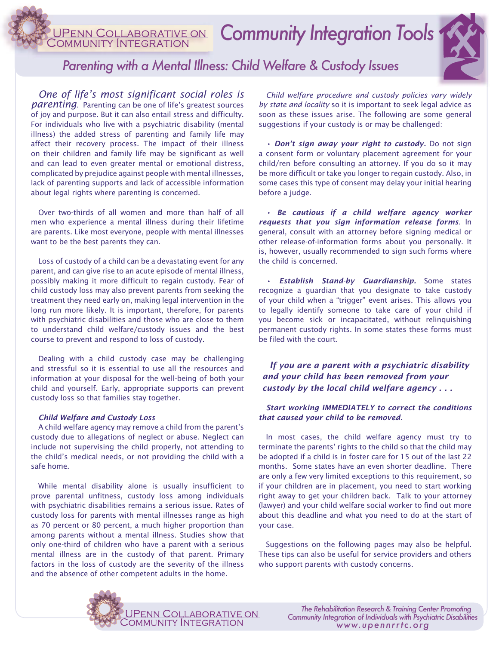*Community Integration Tools*  COMMUNITY INTFGRA



# *Parenting with a Mental Illness: Child Welfare & Custody Issues*

*One of life's most significant social roles is parenting*. Parenting can be one of life's greatest sources of joy and purpose. But it can also entail stress and difficulty. For individuals who live with a psychiatric disability (mental illness) the added stress of parenting and family life may affect their recovery process. The impact of their illness on their children and family life may be significant as well and can lead to even greater mental or emotional distress, complicated by prejudice against people with mental illnesses, lack of parenting supports and lack of accessible information about legal rights where parenting is concerned.

Over two-thirds of all women and more than half of all men who experience a mental illness during their lifetime are parents. Like most everyone, people with mental illnesses want to be the best parents they can.

Loss of custody of a child can be a devastating event for any parent, and can give rise to an acute episode of mental illness, possibly making it more difficult to regain custody. Fear of child custody loss may also prevent parents from seeking the treatment they need early on, making legal intervention in the long run more likely. It is important, therefore, for parents with psychiatric disabilities and those who are close to them to understand child welfare/custody issues and the best course to prevent and respond to loss of custody.

Dealing with a child custody case may be challenging and stressful so it is essential to use all the resources and information at your disposal for the well-being of both your child and yourself. Early, appropriate supports can prevent custody loss so that families stay together.

# *Child Welfare and Custody Loss*

A child welfare agency may remove a child from the parent's custody due to allegations of neglect or abuse. Neglect can include not supervising the child properly, not attending to the child's medical needs, or not providing the child with a safe home.

While mental disability alone is usually insufficient to prove parental unfitness, custody loss among individuals with psychiatric disabilities remains a serious issue. Rates of custody loss for parents with mental illnesses range as high as 70 percent or 80 percent, a much higher proportion than among parents without a mental illness. Studies show that only one-third of children who have a parent with a serious mental illness are in the custody of that parent. Primary factors in the loss of custody are the severity of the illness and the absence of other competent adults in the home.



*• Don't sign away your right to custody.* Do not sign a consent form or voluntary placement agreement for your child/ren before consulting an attorney. If you do so it may be more difficult or take you longer to regain custody. Also, in some cases this type of consent may delay your initial hearing before a judge.

*• Be cautious if a child welfare agency worker requests that you sign information release forms*. In general, consult with an attorney before signing medical or other release-of-information forms about you personally. It is, however, usually recommended to sign such forms where the child is concerned.

*• Establish Stand-by Guardianship.* Some states recognize a guardian that you designate to take custody of your child when a "trigger" event arises. This allows you to legally identify someone to take care of your child if you become sick or incapacitated, without relinquishing permanent custody rights. In some states these forms must be filed with the court.

*If you are a parent with a psychiatric disability and your child has been removed from your custody by the local child welfare agency . . .*

# *Start working IMMEDIATELY to correct the conditions that caused your child to be removed.*

In most cases, the child welfare agency must try to terminate the parents' rights to the child so that the child may be adopted if a child is in foster care for 15 out of the last 22 months. Some states have an even shorter deadline. There are only a few very limited exceptions to this requirement, so if your children are in placement, you need to start working right away to get your children back. Talk to your attorney (lawyer) and your child welfare social worker to find out more about this deadline and what you need to do at the start of your case.

Suggestions on the following pages may also be helpful. These tips can also be useful for service providers and others who support parents with custody concerns.

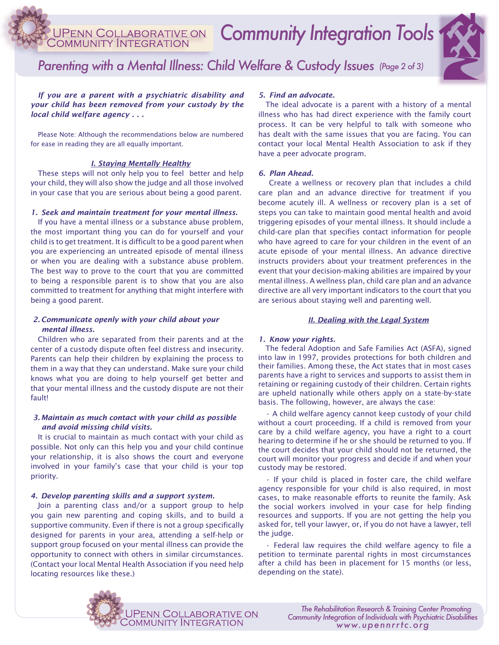# *Community Integration Tools*

# *Parenting with a Mental Illness: Child Welfare & Custody Issues (Page 2 of 3)*

*If you are a parent with a psychiatric disability and your child has been removed from your custody by the local child welfare agency . . .*

Please Note: Although the recommendations below are numbered for ease in reading they are all equally important.

# *I. Staying Mentally Healthy*

These steps will not only help you to feel better and help your child, they will also show the judge and all those involved in your case that you are serious about being a good parent.

#### *1. Seek and maintain treatment for your mental illness.*

If you have a mental illness or a substance abuse problem, the most important thing you can do for yourself and your child is to get treatment. It is difficult to be a good parent when you are experiencing an untreated episode of mental illness or when you are dealing with a substance abuse problem. The best way to prove to the court that you are committed to being a responsible parent is to show that you are also committed to treatment for anything that might interfere with being a good parent.

### *2. Communicate openly with your child about your mental illness.*

Children who are separated from their parents and at the center of a custody dispute often feel distress and insecurity. Parents can help their children by explaining the process to them in a way that they can understand. Make sure your child knows what you are doing to help yourself get better and that your mental illness and the custody dispute are not their fault!

# *3. Maintain as much contact with your child as possible and avoid missing child visits.*

It is crucial to maintain as much contact with your child as possible. Not only can this help you and your child continue your relationship, it is also shows the court and everyone involved in your family's case that your child is your top priority.

#### *4. Develop parenting skills and a support system.*

Join a parenting class and/or a support group to help you gain new parenting and coping skills, and to build a supportive community. Even if there is not a group specifically designed for parents in your area, attending a self-help or support group focused on your mental illness can provide the opportunity to connect with others in similar circumstances. (Contact your local Mental Health Association if you need help locating resources like these.)

# *5. Find an advocate.*

The ideal advocate is a parent with a history of a mental illness who has had direct experience with the family court process. It can be very helpful to talk with someone who has dealt with the same issues that you are facing. You can contact your local Mental Health Association to ask if they have a peer advocate program.

#### *6. Plan Ahead.*

 Create a wellness or recovery plan that includes a child care plan and an advance directive for treatment if you become acutely ill. A wellness or recovery plan is a set of steps you can take to maintain good mental health and avoid triggering episodes of your mental illness. It should include a child-care plan that specifies contact information for people who have agreed to care for your children in the event of an acute episode of your mental illness. An advance directive instructs providers about your treatment preferences in the event that your decision-making abilities are impaired by your mental illness. A wellness plan, child care plan and an advance directive are all very important indicators to the court that you are serious about staying well and parenting well.

#### *II. Dealing with the Legal System*

#### *1. Know your rights.*

The federal Adoption and Safe Families Act (ASFA), signed into law in 1997, provides protections for both children and their families. Among these, the Act states that in most cases parents have a right to services and supports to assist them in retaining or regaining custody of their children. Certain rights are upheld nationally while others apply on a state-by-state basis. The following, however, are always the case:

• A child welfare agency cannot keep custody of your child without a court proceeding. If a child is removed from your care by a child welfare agency, you have a right to a court hearing to determine if he or she should be returned to you. If the court decides that your child should not be returned, the court will monitor your progress and decide if and when your custody may be restored.

• If your child is placed in foster care, the child welfare agency responsible for your child is also required, in most cases, to make reasonable efforts to reunite the family. Ask the social workers involved in your case for help finding resources and supports. If you are not getting the help you asked for, tell your lawyer, or, if you do not have a lawyer, tell the judge.

• Federal law requires the child welfare agency to file a petition to terminate parental rights in most circumstances after a child has been in placement for 15 months (or less, depending on the state).